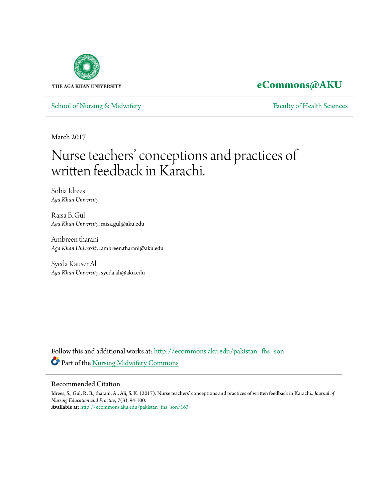

**[eCommons@AKU](http://ecommons.aku.edu?utm_source=ecommons.aku.edu%2Fpakistan_fhs_son%2F163&utm_medium=PDF&utm_campaign=PDFCoverPages)**

[School of Nursing & Midwifery](http://ecommons.aku.edu/pakistan_fhs_son?utm_source=ecommons.aku.edu%2Fpakistan_fhs_son%2F163&utm_medium=PDF&utm_campaign=PDFCoverPages) **[Faculty of Health Sciences](http://ecommons.aku.edu/pakistan_fhs?utm_source=ecommons.aku.edu%2Fpakistan_fhs_son%2F163&utm_medium=PDF&utm_campaign=PDFCoverPages)** Faculty of Health Sciences

March 2017

# Nurse teachers' conceptions and practices of written feedback in Karachi.

Sobia Idrees *Aga Khan University*

Raisa B. Gul *Aga Khan University*, raisa.gul@aku.edu

Ambreen tharani *Aga Khan University*, ambreen.tharani@aku.edu

Syeda Kauser Ali *Aga Khan University*, syeda.ali@aku.edu

Follow this and additional works at: [http://ecommons.aku.edu/pakistan\\_fhs\\_son](http://ecommons.aku.edu/pakistan_fhs_son?utm_source=ecommons.aku.edu%2Fpakistan_fhs_son%2F163&utm_medium=PDF&utm_campaign=PDFCoverPages) Part of the [Nursing Midwifery Commons](http://network.bepress.com/hgg/discipline/722?utm_source=ecommons.aku.edu%2Fpakistan_fhs_son%2F163&utm_medium=PDF&utm_campaign=PDFCoverPages)

# Recommended Citation

Idrees, S., Gul, R. B., tharani, A., Ali, S. K. (2017). Nurse teachers' conceptions and practices of written feedback in Karachi.. *Journal of Nursing Education and Practice, 7*(3), 94-100. **Available at:** [http://ecommons.aku.edu/pakistan\\_fhs\\_son/163](http://ecommons.aku.edu/pakistan_fhs_son/163)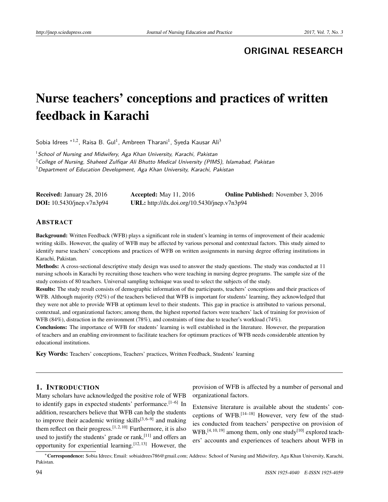# **ORIGINAL RESEARCH**

# Nurse teachers' conceptions and practices of written feedback in Karachi

Sobia Idrees  $^{\ast1,2}$ , Raisa B. Gul<sup>1</sup>, Ambreen Tharani<sup>1</sup>, Syeda Kausar Ali<sup>3</sup>

 $1$ School of Nursing and Midwifery, Aga Khan University, Karachi, Pakistan

<sup>2</sup> College of Nursing, Shaheed Zulfiqar Ali Bhutto Medical University (PIMS), Islamabad, Pakistan

 $3$ Department of Education Development, Aga Khan University, Karachi, Pakistan

| <b>Received:</b> January 28, 2016  | Accepted: May $11, 2016$                    | <b>Online Published:</b> November 3, 2016 |
|------------------------------------|---------------------------------------------|-------------------------------------------|
| <b>DOI:</b> $10.5430/jnep.v7n3p94$ | URL: http://dx.doi.org/10.5430/jnep.v7n3p94 |                                           |

#### ABSTRACT

Background: Written Feedback (WFB) plays a significant role in student's learning in terms of improvement of their academic writing skills. However, the quality of WFB may be affected by various personal and contextual factors. This study aimed to identify nurse teachers' conceptions and practices of WFB on written assignments in nursing degree offering institutions in Karachi, Pakistan.

Methods: A cross-sectional descriptive study design was used to answer the study questions. The study was conducted at 11 nursing schools in Karachi by recruiting those teachers who were teaching in nursing degree programs. The sample size of the study consists of 80 teachers. Universal sampling technique was used to select the subjects of the study.

Results: The study result consists of demographic information of the participants, teachers' conceptions and their practices of WFB. Although majority (92%) of the teachers believed that WFB is important for students' learning, they acknowledged that they were not able to provide WFB at optimum level to their students. This gap in practice is attributed to various personal, contextual, and organizational factors; among them, the highest reported factors were teachers' lack of training for provision of WFB (84%), distraction in the environment (78%), and constraints of time due to teacher's workload (74%).

Conclusions: The importance of WFB for students' learning is well established in the literature. However, the preparation of teachers and an enabling environment to facilitate teachers for optimum practices of WFB needs considerable attention by educational institutions.

Key Words: Teachers' conceptions, Teachers' practices, Written Feedback, Students' learning

#### 1. INTRODUCTION

Many scholars have acknowledged the positive role of WFB to identify gaps in expected students' performance.<sup>[\[1](#page-6-0)-6]</sup> In addition, researchers believe that WFB can help the students to improve their academic writing skills $[3, 6-9]$  $[3, 6-9]$  $[3, 6-9]$  and making them reflect on their progress.<sup>[\[1,](#page-6-0)[2,](#page-6-2) [10\]](#page-7-2)</sup> Furthermore, it is also used to justify the students' grade or rank,<sup>[\[11\]](#page-7-3)</sup> and offers an opportunity for experiential learning.<sup>[\[12,](#page-7-4) [13\]](#page-7-5)</sup> However, the provision of WFB is affected by a number of personal and organizational factors.

Extensive literature is available about the students' conceptions of WFB. $[14-18]$  $[14-18]$  However, very few of the studies conducted from teachers' perspective on provision of  $WFB$ ,<sup>[\[4,](#page-6-3) [10,](#page-7-2) [19\]](#page-7-8)</sup> among them, only one study<sup>[\[10\]](#page-7-2)</sup> explored teachers' accounts and experiences of teachers about WFB in

<sup>∗</sup>Correspondence: Sobia Idrees; Email: sobiaidrees786@gmail.com; Address: School of Nursing and Midwifery, Aga Khan University, Karachi, Pakistan.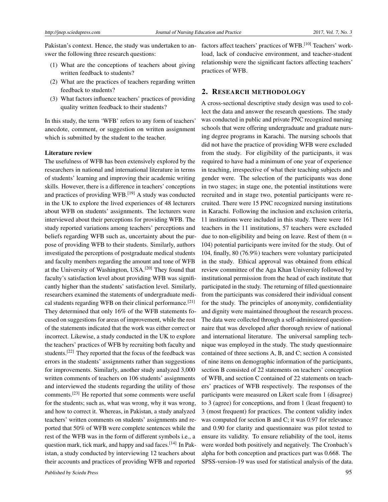Pakistan's context. Hence, the study was undertaken to answer the following three research questions:

- (1) What are the conceptions of teachers about giving written feedback to students?
- (2) What are the practices of teachers regarding written feedback to students?
- (3) What factors influence teachers' practices of providing quality written feedback to their students?

In this study, the term 'WFB' refers to any form of teachers' anecdote, comment, or suggestion on written assignment which is submitted by the student to the teacher.

#### Literature review

The usefulness of WFB has been extensively explored by the researchers in national and international literature in terms of students' learning and improving their academic writing skills. However, there is a difference in teachers' conceptions and practices of providing WFB.<sup>[\[19\]](#page-7-8)</sup> A study was conducted in the UK to explore the lived experiences of 48 lecturers about WFB on students' assignments. The lecturers were interviewed about their perceptions for providing WFB. The study reported variations among teachers' perceptions and beliefs regarding WFB such as, uncertainty about the purpose of providing WFB to their students. Similarly, authors investigated the perceptions of postgraduate medical students and faculty members regarding the amount and tone of WFB at the University of Washington, USA.[\[20\]](#page-7-9) They found that faculty's satisfaction level about providing WFB was significantly higher than the students' satisfaction level. Similarly, researchers examined the statements of undergraduate medical students regarding WFB on their clinical performance.[\[21\]](#page-7-10) They determined that only 16% of the WFB statements focused on suggestions for areas of improvement, while the rest of the statements indicated that the work was either correct or incorrect. Likewise, a study conducted in the UK to explore the teachers' practices of WFB by recruiting both faculty and students.<sup>[\[22\]](#page-7-11)</sup> They reported that the focus of the feedback was errors in the students' assignments rather than suggestions for improvements. Similarly, another study analyzed 3,000 written comments of teachers on 106 students' assignments and interviewed the students regarding the utility of those comments.[\[23\]](#page-7-12) He reported that some comments were useful for the students; such as, what was wrong, why it was wrong, and how to correct it. Whereas, in Pakistan, a study analyzed teachers' written comments on students' assignments and reported that 50% of WFB were complete sentences while the rest of the WFB was in the form of different symbols i.e., a question mark, tick mark, and happy and sad faces.<sup>[\[14\]](#page-7-6)</sup> In Pakistan, a study conducted by interviewing 12 teachers about their accounts and practices of providing WFB and reported

factors affect teachers' practices of WFB.[\[10\]](#page-7-2) Teachers' workload, lack of conducive environment, and teacher-student relationship were the significant factors affecting teachers' practices of WFB.

#### 2. RESEARCH METHODOLOGY

A cross-sectional descriptive study design was used to collect the data and answer the research questions. The study was conducted in public and private PNC recognized nursing schools that were offering undergraduate and graduate nursing degree programs in Karachi. The nursing schools that did not have the practice of providing WFB were excluded from the study. For eligibility of the participants, it was required to have had a minimum of one year of experience in teaching, irrespective of what their teaching subjects and gender were. The selection of the participants was done in two stages; in stage one, the potential institutions were recruited and in stage two, potential participants were recruited. There were 15 PNC recognized nursing institutions in Karachi. Following the inclusion and exclusion criteria, 11 institutions were included in this study. There were 161 teachers in the 11 institutions, 57 teachers were excluded due to non-eligibility and being on leave. Rest of them  $(n =$ 104) potential participants were invited for the study. Out of 104, finally, 80 (76.9%) teachers were voluntary participated in the study. Ethical approval was obtained from ethical review committee of the Aga Khan University followed by institutional permission from the head of each institute that participated in the study. The returning of filled questionnaire from the participants was considered their individual consent for the study. The principles of anonymity, confidentiality and dignity were maintained throughout the research process. The data were collected through a self-administered questionnaire that was developed after thorough review of national and international literature. The universal sampling technique was employed in the study. The study questionnaire contained of three sections A, B, and C; section A consisted of nine items on demographic information of the participants, section B consisted of 22 statements on teachers' conception of WFB, and section C contained of 22 statements on teachers' practices of WFB respectively. The responses of the participants were measured on Likert scale from 1 (disagree) to 3 (agree) for conceptions, and from 1 (least frequent) to 3 (most frequent) for practices. The content validity index was computed for section B and C; it was 0.97 for relevance and 0.90 for clarity and questionnaire was pilot tested to ensure its validity. To ensure reliability of the tool, items were worded both positively and negatively. The Cronbach's alpha for both conception and practices part was 0.668. The SPSS-version-19 was used for statistical analysis of the data.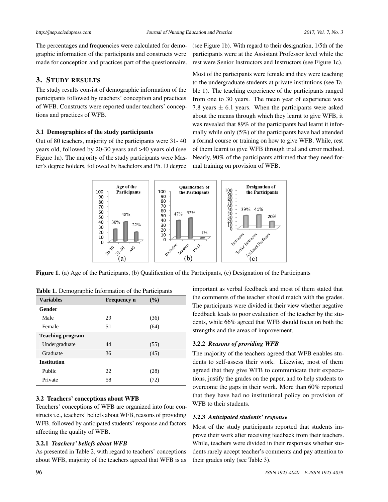The percentages and frequencies were calculated for demographic information of the participants and constructs were made for conception and practices part of the questionnaire.

# 3. STUDY RESULTS

The study results consist of demographic information of the participants followed by teachers' conception and practices of WFB. Constructs were reported under teachers' conceptions and practices of WFB.

#### 3.1 Demographics of the study participants

Out of 80 teachers, majority of the participants were 31- 40 years old, followed by 20-30 years and >40 years old (see Figure 1a). The majority of the study participants were Master's degree holders, followed by bachelors and Ph. D degree

(see Figure 1b). With regard to their designation, 1/5th of the participants were at the Assistant Professor level while the rest were Senior Instructors and Instructors (see Figure 1c).

Most of the participants were female and they were teaching to the undergraduate students at private institutions (see Table 1). The teaching experience of the participants ranged from one to 30 years. The mean year of experience was 7.8 years  $\pm$  6.1 years. When the participants were asked about the means through which they learnt to give WFB, it was revealed that 89% of the participants had learnt it informally while only (5%) of the participants have had attended a formal course or training on how to give WFB. While, rest of them learnt to give WFB through trial and error method. Nearly, 90% of the participants affirmed that they need formal training on provision of WFB.



Figure 1. (a) Age of the Participants, (b) Qualification of the Participants, (c) Designation of the Participants

| Table 1. Demographic Information of the Participants |                                                                                                                                                                                                                                                                                                  |  |  |  |
|------------------------------------------------------|--------------------------------------------------------------------------------------------------------------------------------------------------------------------------------------------------------------------------------------------------------------------------------------------------|--|--|--|
| $\mathbf{v}$                                         | $\mathbf{E}$ and $\mathbf{E}$ and $\mathbf{E}$ and $\mathbf{E}$ and $\mathbf{E}$ and $\mathbf{E}$ and $\mathbf{E}$ and $\mathbf{E}$ and $\mathbf{E}$ and $\mathbf{E}$ and $\mathbf{E}$ and $\mathbf{E}$ and $\mathbf{E}$ and $\mathbf{E}$ and $\mathbf{E}$ and $\mathbf{E}$ and $\mathbf{E}$ and |  |  |  |

| <b>Variables</b>        | <b>Frequency n</b> | (%)  |
|-------------------------|--------------------|------|
| Gender                  |                    |      |
| Male                    | 29                 | (36) |
| Female                  | 51                 | (64) |
| <b>Teaching program</b> |                    |      |
| Undergraduate           | 44                 | (55) |
| Graduate                | 36                 | (45) |
| <b>Institution</b>      |                    |      |
| Public                  | 22                 | (28) |
| Private                 | 58                 |      |
|                         |                    |      |

#### 3.2 Teachers' conceptions about WFB

Teachers' conceptions of WFB are organized into four constructs i.e., teachers' beliefs about WFB, reasons of providing WFB, followed by anticipated students' response and factors affecting the quality of WFB.

#### 3.2.1 *Teachers' beliefs about WFB*

As presented in Table 2, with regard to teachers' conceptions about WFB, majority of the teachers agreed that WFB is as

important as verbal feedback and most of them stated that the comments of the teacher should match with the grades. The participants were divided in their view whether negative feedback leads to poor evaluation of the teacher by the students, while 66% agreed that WFB should focus on both the strengths and the areas of improvement.

#### 3.2.2 *Reasons of providing WFB*

The majority of the teachers agreed that WFB enables students to self-assess their work. Likewise, most of them agreed that they give WFB to communicate their expectations, justify the grades on the paper, and to help students to overcome the gaps in their work. More than 60% reported that they have had no institutional policy on provision of WFB to their students.

#### 3.2.3 *Anticipated students' response*

Most of the study participants reported that students improve their work after receiving feedback from their teachers. While, teachers were divided in their responses whether students rarely accept teacher's comments and pay attention to their grades only (see Table 3).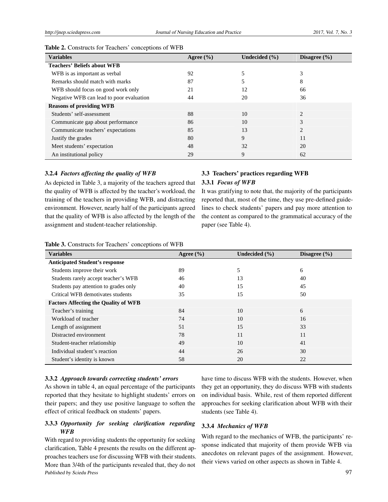| <b>Variables</b>                         | Agree $(\% )$ | Undecided $(\% )$ | Disagree $(\% )$ |
|------------------------------------------|---------------|-------------------|------------------|
| <b>Teachers' Beliefs about WFB</b>       |               |                   |                  |
| WFB is as important as verbal            | 92            | 5                 | 3                |
| Remarks should match with marks          | 87            |                   | 8                |
| WFB should focus on good work only       | 21            | 12                | 66               |
| Negative WFB can lead to poor evaluation | 44            | 20                | 36               |
| <b>Reasons of providing WFB</b>          |               |                   |                  |
| Students' self-assessment                | 88            | 10                | $\mathfrak{D}$   |
| Communicate gap about performance        | 86            | 10                | 3                |
| Communicate teachers' expectations       | 85            | 13                | $\overline{c}$   |
| Justify the grades                       | 80            | 9                 | 11               |
| Meet students' expectation               | 48            | 32                | 20               |
| An institutional policy                  | 29            | 9                 | 62               |

#### Table 2. Constructs for Teachers' conceptions of WFB

#### 3.2.4 *Factors affecting the quality of WFB*

As depicted in Table 3, a majority of the teachers agreed that the quality of WFB is affected by the teacher's workload, the training of the teachers in providing WFB, and distracting environment. However, nearly half of the participants agreed that the quality of WFB is also affected by the length of the assignment and student-teacher relationship.

# 3.3 Teachers' practices regarding WFB 3.3.1 *Focus of WFB*

It was gratifying to note that, the majority of the participants reported that, most of the time, they use pre-defined guidelines to check students' papers and pay more attention to the content as compared to the grammatical accuracy of the paper (see Table 4).

| Table 3. Constructs for Teachers' conceptions of WFB |  |
|------------------------------------------------------|--|
|------------------------------------------------------|--|

| <b>Variables</b>                            | Agree $(\% )$ | Undecided $(\% )$ | Disagree $(\% )$ |
|---------------------------------------------|---------------|-------------------|------------------|
| <b>Anticipated Student's response</b>       |               |                   |                  |
| Students improve their work                 | 89            | 5                 | 6                |
| Students rarely accept teacher's WFB        | 46            | 13                | 40               |
| Students pay attention to grades only       | 40            | 15                | 45               |
| Critical WFB demotivates students           | 35            | 15                | 50               |
| <b>Factors Affecting the Quality of WFB</b> |               |                   |                  |
| Teacher's training                          | 84            | 10                | 6                |
| Workload of teacher                         | 74            | 10                | 16               |
| Length of assignment                        | 51            | 15                | 33               |
| Distracted environment                      | 78            | 11                | 11               |
| Student-teacher relationship                | 49            | 10                | 41               |
| Individual student's reaction               | 44            | 26                | 30               |
| Student's identity is known                 | 58            | 20                | 22               |

#### 3.3.2 *Approach towards correcting students' errors*

As shown in table 4, an equal percentage of the participants reported that they hesitate to highlight students' errors on their papers; and they use positive language to soften the effect of critical feedback on students' papers.

# 3.3.3 *Opportunity for seeking clarification regarding WFB*

With regard to providing students the opportunity for seeking clarification, Table 4 presents the results on the different approaches teachers use for discussing WFB with their students. More than 3/4th of the participants revealed that, they do not Published by Sciedu Press 97

have time to discuss WFB with the students. However, when they get an opportunity, they do discuss WFB with students on individual basis. While, rest of them reported different approaches for seeking clarification about WFB with their students (see Table 4).

# 3.3.4 *Mechanics of WFB*

With regard to the mechanics of WFB, the participants' response indicated that majority of them provide WFB via anecdotes on relevant pages of the assignment. However, their views varied on other aspects as shown in Table 4.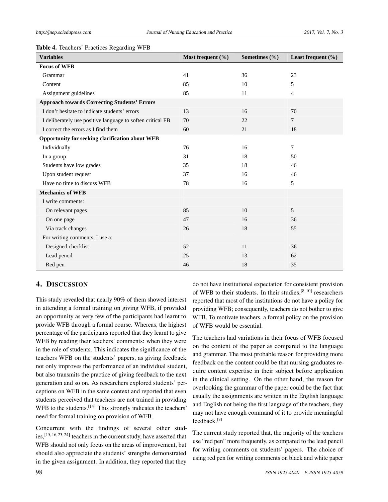| <b>Variables</b>                                           | Most frequent $(\% )$ | Sometimes $(\% )$ | Least frequent $(\% )$ |
|------------------------------------------------------------|-----------------------|-------------------|------------------------|
| <b>Focus of WFB</b>                                        |                       |                   |                        |
| Grammar                                                    | 41                    | 36                | 23                     |
| Content                                                    | 85                    | 10                | 5                      |
| Assignment guidelines                                      | 85                    | 11                | 4                      |
| <b>Approach towards Correcting Students' Errors</b>        |                       |                   |                        |
| I don't hesitate to indicate students' errors              | 13                    | 16                | 70                     |
| I deliberately use positive language to soften critical FB | 70                    | 22                | 7                      |
| I correct the errors as I find them                        | 60                    | 21                | 18                     |
| <b>Opportunity for seeking clarification about WFB</b>     |                       |                   |                        |
| Individually                                               | 76                    | 16                | $\overline{7}$         |
| In a group                                                 | 31                    | 18                | 50                     |
| Students have low grades                                   | 35                    | 18                | 46                     |
| Upon student request                                       | 37                    | 16                | 46                     |
| Have no time to discuss WFB                                | 78                    | 16                | 5                      |
| <b>Mechanics of WFB</b>                                    |                       |                   |                        |
| I write comments:                                          |                       |                   |                        |
| On relevant pages                                          | 85                    | 10                | 5                      |
| On one page                                                | 47                    | 16                | 36                     |
| Via track changes                                          | 26                    | 18                | 55                     |
| For writing comments, I use a:                             |                       |                   |                        |
| Designed checklist                                         | 52                    | 11                | 36                     |
| Lead pencil                                                | 25                    | 13                | 62                     |
| Red pen                                                    | 46                    | 18                | 35                     |

#### Table 4. Teachers' Practices Regarding WFB

# 4. DISCUSSION

This study revealed that nearly 90% of them showed interest in attending a formal training on giving WFB, if provided an opportunity as very few of the participants had learnt to provide WFB through a formal course. Whereas, the highest percentage of the participants reported that they learnt to give WFB by reading their teachers' comments: when they were in the role of students. This indicates the significance of the teachers WFB on the students' papers, as giving feedback not only improves the performance of an individual student, but also transmits the practice of giving feedback to the next generation and so on. As researchers explored students' perceptions on WFB in the same context and reported that even students perceived that teachers are not trained in providing WFB to the students.<sup>[\[14\]](#page-7-6)</sup> This strongly indicates the teachers' need for formal training on provision of WFB.

Concurrent with the findings of several other studies,[\[15,](#page-7-13) [16,](#page-7-14) [23,](#page-7-12) [24\]](#page-7-15) teachers in the current study, have asserted that WFB should not only focus on the areas of improvement, but should also appreciate the students' strengths demonstrated in the given assignment. In addition, they reported that they

do not have institutional expectation for consistent provision of WFB to their students. In their studies,  $[8, 10]$  $[8, 10]$  $[8, 10]$  researchers reported that most of the institutions do not have a policy for providing WFB; consequently, teachers do not bother to give WFB. To motivate teachers, a formal policy on the provision of WFB would be essential.

The teachers had variations in their focus of WFB focused on the content of the paper as compared to the language and grammar. The most probable reason for providing more feedback on the content could be that nursing graduates require content expertise in their subject before application in the clinical setting. On the other hand, the reason for overlooking the grammar of the paper could be the fact that usually the assignments are written in the English language and English not being the first language of the teachers, they may not have enough command of it to provide meaningful feedback.[\[8\]](#page-7-16)

The current study reported that, the majority of the teachers use "red pen" more frequently, as compared to the lead pencil for writing comments on students' papers. The choice of using red pen for writing comments on black and white paper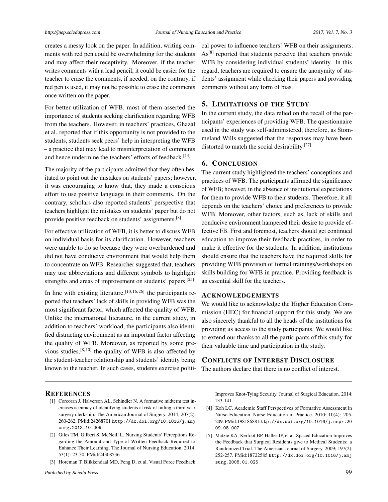creates a messy look on the paper. In addition, writing comments with red pen could be overwhelming for the students and may affect their receptivity. Moreover, if the teacher writes comments with a lead pencil, it could be easier for the teacher to erase the comments, if needed; on the contrary, if red pen is used, it may not be possible to erase the comments once written on the paper.

For better utilization of WFB, most of them asserted the importance of students seeking clarification regarding WFB from the teachers. However, in teachers' practices, Ghazal et al. reported that if this opportunity is not provided to the students, students seek peers' help in interpreting the WFB – a practice that may lead to misinterpretation of comments and hence undermine the teachers' efforts of feedback.<sup>[\[14\]](#page-7-6)</sup>

The majority of the participants admitted that they often hesitated to point out the mistakes on students' papers; however, it was encouraging to know that, they made a conscious effort to use positive language in their comments. On the contrary, scholars also reported students' perspective that teachers highlight the mistakes on students' paper but do not provide positive feedback on students' assignments.<sup>[\[8\]](#page-7-16)</sup>

For effective utilization of WFB, it is better to discuss WFB on individual basis for its clarification. However, teachers were unable to do so because they were overburdened and did not have conducive environment that would help them to concentrate on WFB. Researcher suggested that, teachers may use abbreviations and different symbols to highlight strengths and areas of improvement on students' papers.[\[25\]](#page-7-17)

In line with existing literature,  $[10, 16, 26]$  $[10, 16, 26]$  $[10, 16, 26]$  $[10, 16, 26]$  $[10, 16, 26]$  the participants reported that teachers' lack of skills in providing WFB was the most significant factor, which affected the quality of WFB. Unlike the international literature, in the current study, in addition to teachers' workload, the participants also identified distracting environment as an important factor affecting the quality of WFB. Moreover, as reported by some previous studies,  $[8, 10]$  $[8, 10]$  $[8, 10]$  the quality of WFB is also affected by the student-teacher relationship and students' identity being known to the teacher. In such cases, students exercise politi-

cal power to influence teachers' WFB on their assignments. As<sup>[\[8\]](#page-7-16)</sup> reported that students perceive that teachers provide WFB by considering individual students' identity. In this regard, teachers are required to ensure the anonymity of students' assignment while checking their papers and providing comments without any form of bias.

# 5. LIMITATIONS OF THE STUDY

In the current study, the data relied on the recall of the participants' experiences of providing WFB. The questionnaire used in the study was self-administered; therefore, as Stommeland Wills suggested that the responses may have been distorted to match the social desirability.[\[27\]](#page-7-19)

#### 6. CONCLUSION

The current study highlighted the teachers' conceptions and practices of WFB. The participants affirmed the significance of WFB; however, in the absence of institutional expectations for them to provide WFB to their students. Therefore, it all depends on the teachers' choice and preferences to provide WFB. Moreover, other factors, such as, lack of skills and conducive environment hampered their desire to provide effective FB. First and foremost, teachers should get continued education to improve their feedback practices, in order to make it effective for the students. In addition, institutions should ensure that the teachers have the required skills for providing WFB provision of formal trainings/workshops on skills building for WFB in practice. Providing feedback is an essential skill for the teachers.

# ACKNOWLEDGEMENTS

We would like to acknowledge the Higher Education Commission (HEC) for financial support for this study. We are also sincerely thankful to all the heads of the institutions for providing us access to the study participants. We would like to extend our thanks to all the participants of this study for their valuable time and participation in the study.

### CONFLICTS OF INTEREST DISCLOSURE

The authors declare that there is no conflict of interest.

#### **REFERENCES**

- <span id="page-6-0"></span>[1] Corcoran J, Halverson AL, Schindler N. A formative midterm test increases accuracy of identifying students at risk of failing a third year surgery clerkship. The American Journal of Surgery. 2014; 207(2): 260-262. PMid:24268701 [http://dx.doi.org/10.1016/j.amj](http://dx.doi.org/10.1016/j.amjsurg.2013.10.009) [surg.2013.10.009](http://dx.doi.org/10.1016/j.amjsurg.2013.10.009)
- <span id="page-6-2"></span>[2] Giles TM, Gilbert S, McNeill L. Nursing Students' Perceptions Regarding the Amount and Type of Written Feedback Required to Enhance Their Learning. The Journal of Nursing Education. 2014; 53(1): 23-30. PMid:24308536
- <span id="page-6-1"></span>[3] Horeman T, Blikkendaal MD, Feng D, et al. Visual Force Feedback

Improves Knot-Tying Security. Journal of Surgical Education. 2014: 133-141.

- <span id="page-6-3"></span>[4] Koh LC. Academic Staff Perspectives of Formative Assessment in Nurse Education. Nurse Education in Practice. 2010; 10(4): 205- 209. PMid:19818688 [http://dx.doi.org/10.1016/j.nepr.20](http://dx.doi.org/10.1016/j.nepr.2009.08.007) [09.08.007](http://dx.doi.org/10.1016/j.nepr.2009.08.007)
- [5] Matzie KA, Kerfoot BP, Hafler JP, et al. Spaced Education Improves the Feedback that Surgical Residents give to Medical Students: a Randomized Trial. The American Journal of Surgery. 2009; 197(2): 252-257. PMid:18722585 [http://dx.doi.org/10.1016/j.amj](http://dx.doi.org/10.1016/j.amjsurg.2008.01.025) [surg.2008.01.025](http://dx.doi.org/10.1016/j.amjsurg.2008.01.025)